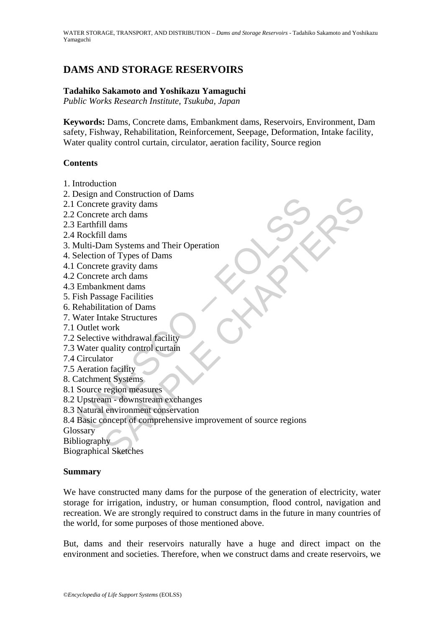# **DAMS AND STORAGE RESERVOIRS**

## **Tadahiko Sakamoto and Yoshikazu Yamaguchi**

*Public Works Research Institute, Tsukuba, Japan* 

**Keywords:** Dams, Concrete dams, Embankment dams, Reservoirs, Environment, Dam safety, Fishway, Rehabilitation, Reinforcement, Seepage, Deformation, Intake facility, Water quality control curtain, circulator, aeration facility, Source region

### **Contents**

- 1. Introduction
- 2. Design and Construction of Dams
- 2.1 Concrete gravity dams
- 2.2 Concrete arch dams
- 2.3 Earthfill dams
- 2.4 Rockfill dams
- 3. Multi-Dam Systems and Their Operation
- 4. Selection of Types of Dams
- 4.1 Concrete gravity dams
- 4.2 Concrete arch dams
- 4.3 Embankment dams
- 5. Fish Passage Facilities
- 6. Rehabilitation of Dams
- 7. Water Intake Structures
- 7.1 Outlet work
- 7.2 Selective withdrawal facility
- 7.3 Water quality control curtain
- 7.4 Circulator
- 7.5 Aeration facility
- 8. Catchment Systems
- 8.1 Source region measures
- 8.2 Upstream downstream exchanges
- 8.3 Natural environment conservation
- Experiment Concrete gravity dams<br>
Concrete gravity dams<br>
Earthfill dams<br>
Earthfill dams<br>
Earthfill dams<br>
Earthfill dams<br>
Election of Types of Dams<br>
election of Types of Dams<br>
Concrete gravity dams<br>
Concrete arch dams<br>
Emba and Considered The gravity dams<br>te arch dams<br>te arch dams<br>am Systems and Their Operation<br>on of Types of Dams<br>am Systems and Their Operation<br>of of Types of Dams<br>te arch dams<br>kment dams<br>kment dams<br>kment dams<br>work<br>we withdraw 8.4 Basic concept of comprehensive improvement of source regions

**Glossary** 

Bibliography

Biographical Sketches

### **Summary**

We have constructed many dams for the purpose of the generation of electricity, water storage for irrigation, industry, or human consumption, flood control, navigation and recreation. We are strongly required to construct dams in the future in many countries of the world, for some purposes of those mentioned above.

But, dams and their reservoirs naturally have a huge and direct impact on the environment and societies. Therefore, when we construct dams and create reservoirs, we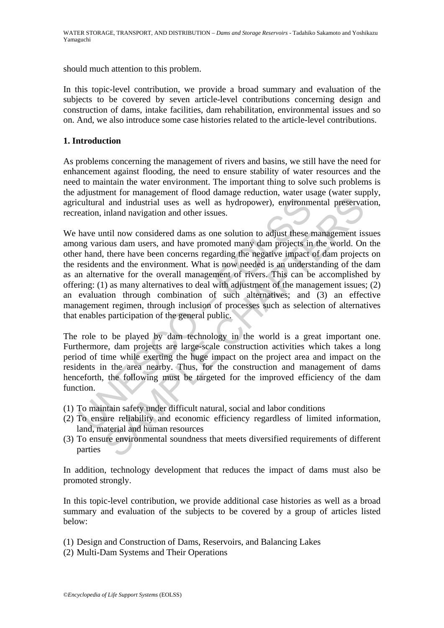should much attention to this problem.

In this topic-level contribution, we provide a broad summary and evaluation of the subjects to be covered by seven article-level contributions concerning design and construction of dams, intake facilities, dam rehabilitation, environmental issues and so on. And, we also introduce some case histories related to the article-level contributions.

## **1. Introduction**

As problems concerning the management of rivers and basins, we still have the need for enhancement against flooding, the need to ensure stability of water resources and the need to maintain the water environment. The important thing to solve such problems is the adjustment for management of flood damage reduction, water usage (water supply, agricultural and industrial uses as well as hydropower), environmental preservation, recreation, inland navigation and other issues.

cultural and industrial uses as well as hydropower), environm<br>eation, inland navigation and other issues.<br>have until now considered dams as one solution to adjust these hay various dam users, and have promoted many dam pro I and industrial uses as well as hydropower), environmental preservational and industrial uses as well as hydropower), environmental preservational margin and navigation and other issues.<br>
Intil now considered dams as one We have until now considered dams as one solution to adjust these management issues among various dam users, and have promoted many dam projects in the world. On the other hand, there have been concerns regarding the negative impact of dam projects on the residents and the environment. What is now needed is an understanding of the dam as an alternative for the overall management of rivers. This can be accomplished by offering: (1) as many alternatives to deal with adjustment of the management issues; (2) an evaluation through combination of such alternatives; and (3) an effective management regimen, through inclusion of processes such as selection of alternatives that enables participation of the general public.

The role to be played by dam technology in the world is a great important one. Furthermore, dam projects are large-scale construction activities which takes a long period of time while exerting the huge impact on the project area and impact on the residents in the area nearby. Thus, for the construction and management of dams henceforth, the following must be targeted for the improved efficiency of the dam function.

- (1) To maintain safety under difficult natural, social and labor conditions
- (2) To ensure reliability and economic efficiency regardless of limited information, land, material and human resources
- (3) To ensure environmental soundness that meets diversified requirements of different parties

In addition, technology development that reduces the impact of dams must also be promoted strongly.

In this topic-level contribution, we provide additional case histories as well as a broad summary and evaluation of the subjects to be covered by a group of articles listed below:

- (1) Design and Construction of Dams, Reservoirs, and Balancing Lakes
- (2) Multi-Dam Systems and Their Operations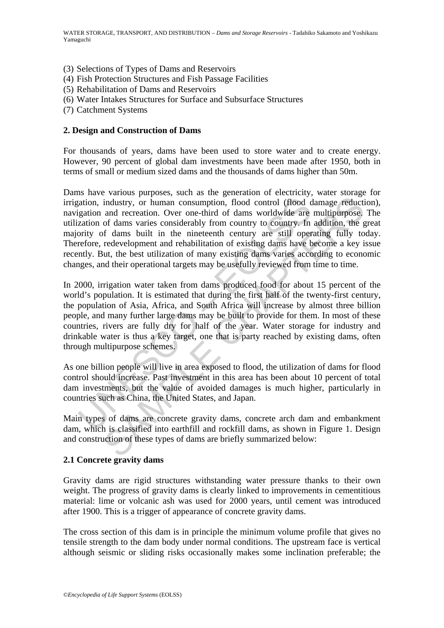- (3) Selections of Types of Dams and Reservoirs
- (4) Fish Protection Structures and Fish Passage Facilities
- (5) Rehabilitation of Dams and Reservoirs
- (6) Water Intakes Structures for Surface and Subsurface Structures
- (7) Catchment Systems

## **2. Design and Construction of Dams**

For thousands of years, dams have been used to store water and to create energy. However, 90 percent of global dam investments have been made after 1950, both in terms of small or medium sized dams and the thousands of dams higher than 50m.

ation, industry, or human consumption, flood control (flood digation and recreation. Over one-third of dams worldwide are zation of dams varies considerably from country to country. In ority of dams built in the nineteenth industry, or human consumption, flood control (flood damage reduction divertion. Over one-third of dams worldwide are multipurpose, of dams varies considerably from control (flood camage reduction of econstance of dams bui Dams have various purposes, such as the generation of electricity, water storage for irrigation, industry, or human consumption, flood control (flood damage reduction), navigation and recreation. Over one-third of dams worldwide are multipurpose. The utilization of dams varies considerably from country to country. In addition, the great majority of dams built in the nineteenth century are still operating fully today. Therefore, redevelopment and rehabilitation of existing dams have become a key issue recently. But, the best utilization of many existing dams varies according to economic changes, and their operational targets may be usefully reviewed from time to time.

In 2000, irrigation water taken from dams produced food for about 15 percent of the world's population. It is estimated that during the first half of the twenty-first century, the population of Asia, Africa, and South Africa will increase by almost three billion people, and many further large dams may be built to provide for them. In most of these countries, rivers are fully dry for half of the year. Water storage for industry and drinkable water is thus a key target, one that is party reached by existing dams, often through multipurpose schemes.

As one billion people will live in area exposed to flood, the utilization of dams for flood control should increase. Past investment in this area has been about 10 percent of total dam investments, but the value of avoided damages is much higher, particularly in countries such as China, the United States, and Japan.

Main types of dams are concrete gravity dams, concrete arch dam and embankment dam, which is classified into earthfill and rockfill dams, as shown in Figure 1. Design and construction of these types of dams are briefly summarized below:

### **2.1 Concrete gravity dams**

Gravity dams are rigid structures withstanding water pressure thanks to their own weight. The progress of gravity dams is clearly linked to improvements in cementitious material: lime or volcanic ash was used for 2000 years, until cement was introduced after 1900. This is a trigger of appearance of concrete gravity dams.

The cross section of this dam is in principle the minimum volume profile that gives no tensile strength to the dam body under normal conditions. The upstream face is vertical although seismic or sliding risks occasionally makes some inclination preferable; the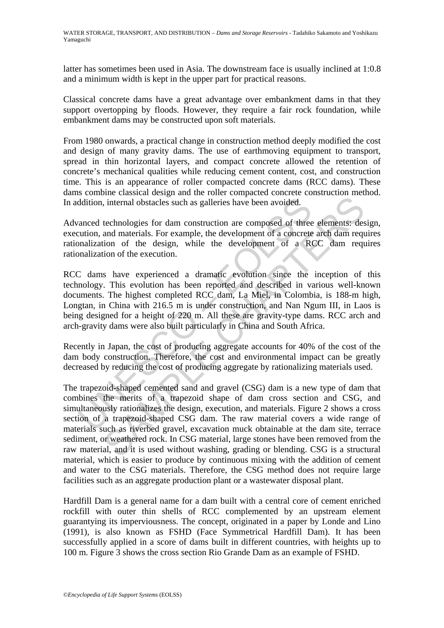latter has sometimes been used in Asia. The downstream face is usually inclined at 1:0.8 and a minimum width is kept in the upper part for practical reasons.

Classical concrete dams have a great advantage over embankment dams in that they support overtopping by floods. However, they require a fair rock foundation, while embankment dams may be constructed upon soft materials.

From 1980 onwards, a practical change in construction method deeply modified the cost and design of many gravity dams. The use of earthmoving equipment to transport, spread in thin horizontal layers, and compact concrete allowed the retention of concrete's mechanical qualities while reducing cement content, cost, and construction time. This is an appearance of roller compacted concrete dams (RCC dams). These dams combine classical design and the roller compacted concrete construction method. In addition, internal obstacles such as galleries have been avoided.

Advanced technologies for dam construction are composed of three elements: design, execution, and materials. For example, the development of a concrete arch dam requires rationalization of the design, while the development of a RCC dam requires rationalization of the execution.

ddition, internal obstacles such as galleries have been avoided.<br>
vanced technologies for dam construction are composed of three<br>
uration, and materials. For example, the development of a concrete<br>
unalization of the desci RCC dams have experienced a dramatic evolution since the inception of this technology. This evolution has been reported and described in various well-known documents. The highest completed RCC dam, La Miel, in Colombia, is 188-m high, Longtan, in China with 216.5 m is under construction, and Nan Ngum III, in Laos is being designed for a height of 220 m. All these are gravity-type dams. RCC arch and arch-gravity dams were also built particularly in China and South Africa.

Recently in Japan, the cost of producing aggregate accounts for 40% of the cost of the dam body construction. Therefore, the cost and environmental impact can be greatly decreased by reducing the cost of producing aggregate by rationalizing materials used.

i, internal obstacles such as galleries have been avoided.<br>
i, internal obstacles such as galleries have been avoided.<br>
technologies for dam construction are composed of three elements: des<br>
and materials. For example, the The trapezoid-shaped cemented sand and gravel (CSG) dam is a new type of dam that combines the merits of a trapezoid shape of dam cross section and CSG, and simultaneously rationalizes the design, execution, and materials. Figure 2 shows a cross section of a trapezoid-shaped CSG dam. The raw material covers a wide range of materials such as riverbed gravel, excavation muck obtainable at the dam site, terrace sediment, or weathered rock. In CSG material, large stones have been removed from the raw material, and it is used without washing, grading or blending. CSG is a structural material, which is easier to produce by continuous mixing with the addition of cement and water to the CSG materials. Therefore, the CSG method does not require large facilities such as an aggregate production plant or a wastewater disposal plant.

Hardfill Dam is a general name for a dam built with a central core of cement enriched rockfill with outer thin shells of RCC complemented by an upstream element guarantying its imperviousness. The concept, originated in a paper by Londe and Lino (1991), is also known as FSHD (Face Symmetrical Hardfill Dam). It has been successfully applied in a score of dams built in different countries, with heights up to 100 m. Figure 3 shows the cross section Rio Grande Dam as an example of FSHD.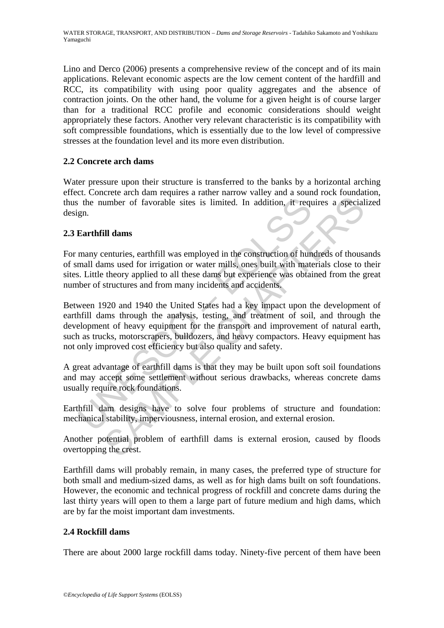Lino and Derco (2006) presents a comprehensive review of the concept and of its main applications. Relevant economic aspects are the low cement content of the hardfill and RCC, its compatibility with using poor quality aggregates and the absence of contraction joints. On the other hand, the volume for a given height is of course larger than for a traditional RCC profile and economic considerations should weight appropriately these factors. Another very relevant characteristic is its compatibility with soft compressible foundations, which is essentially due to the low level of compressive stresses at the foundation level and its more even distribution.

## **2.2 Concrete arch dams**

Water pressure upon their structure is transferred to the banks by a horizontal arching effect. Concrete arch dam requires a rather narrow valley and a sound rock foundation, thus the number of favorable sites is limited. In addition, it requires a specialized design.

## **2.3 Earthfill dams**

For many centuries, earthfill was employed in the construction of hundreds of thousands of small dams used for irrigation or water mills, ones built with materials close to their sites. Little theory applied to all these dams but experience was obtained from the great number of structures and from many incidents and accidents.

The number of favorable sites is limited. In addition, it required.<br>
gn.<br> **Earthfill dams**<br>
many centuries, earthfill was employed in the construction of hum<br>
mall dams used for irrigation or water mills, ones built with m umber of favorable sites is limited. In addition, it requires a special<br>
ill dams<br>
senturies, earthfill was employed in the construction of hundreds of thous<br>
mums used for irrigation or water mills, ones built with materi Between 1920 and 1940 the United States had a key impact upon the development of earthfill dams through the analysis, testing, and treatment of soil, and through the development of heavy equipment for the transport and improvement of natural earth, such as trucks, motorscrapers, bulldozers, and heavy compactors. Heavy equipment has not only improved cost efficiency but also quality and safety.

A great advantage of earthfill dams is that they may be built upon soft soil foundations and may accept some settlement without serious drawbacks, whereas concrete dams usually require rock foundations.

Earthfill dam designs have to solve four problems of structure and foundation: mechanical stability, imperviousness, internal erosion, and external erosion.

Another potential problem of earthfill dams is external erosion, caused by floods overtopping the crest.

Earthfill dams will probably remain, in many cases, the preferred type of structure for both small and medium-sized dams, as well as for high dams built on soft foundations. However, the economic and technical progress of rockfill and concrete dams during the last thirty years will open to them a large part of future medium and high dams, which are by far the moist important dam investments.

## **2.4 Rockfill dams**

There are about 2000 large rockfill dams today. Ninety-five percent of them have been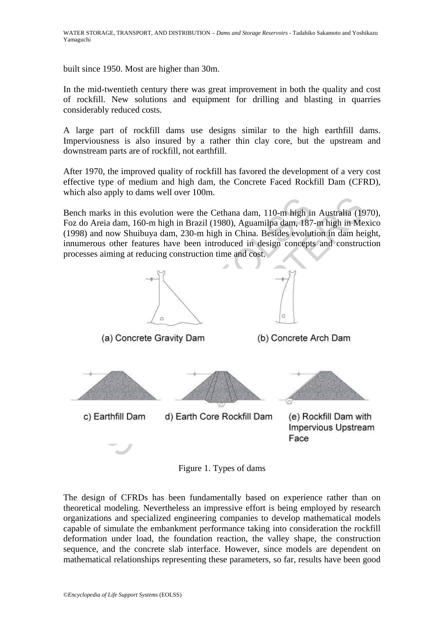built since 1950. Most are higher than 30m.

In the mid-twentieth century there was great improvement in both the quality and cost of rockfill. New solutions and equipment for drilling and blasting in quarries considerably reduced costs.

A large part of rockfill dams use designs similar to the high earthfill dams. Imperviousness is also insured by a rather thin clay core, but the upstream and downstream parts are of rockfill, not earthfill.

After 1970, the improved quality of rockfill has favored the development of a very cost effective type of medium and high dam, the Concrete Faced Rockfill Dam (CFRD), which also apply to dams well over 100m.

Bench marks in this evolution were the Cethana dam, 110-m high in Australia (1970), Foz do Areia dam, 160-m high in Brazil (1980), Aguamilpa dam, 187-m high in Mexico (1998) and now Shuibuya dam, 230-m high in China. Besides evolution in dam height, innumerous other features have been introduced in design concepts and construction processes aiming at reducing construction time and cost.



Figure 1. Types of dams

The design of CFRDs has been fundamentally based on experience rather than on theoretical modeling. Nevertheless an impressive effort is being employed by research organizations and specialized engineering companies to develop mathematical models capable of simulate the embankment performance taking into consideration the rockfill deformation under load, the foundation reaction, the valley shape, the construction sequence, and the concrete slab interface. However, since models are dependent on mathematical relationships representing these parameters, so far, results have been good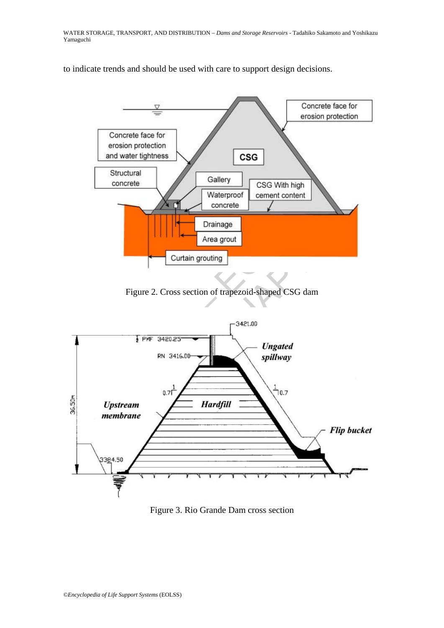to indicate trends and should be used with care to support design decisions.



Figure 2. Cross section of trapezoid-shaped CSG dam



Figure 3. Rio Grande Dam cross section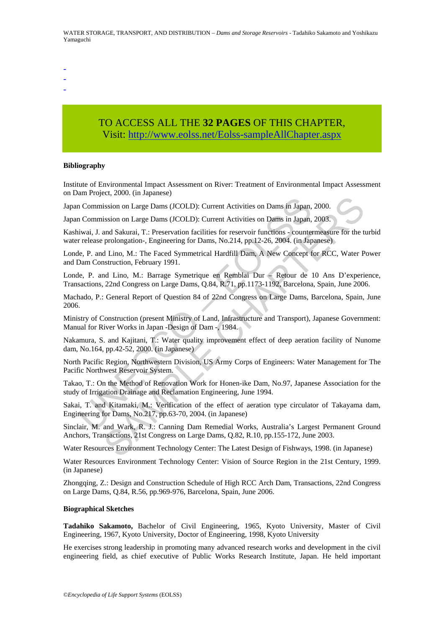- -
- -
- -

# TO ACCESS ALL THE **32 PAGES** OF THIS CHAPTER, Visit[: http://www.eolss.net/Eolss-sampleAllChapter.aspx](https://www.eolss.net/ebooklib/sc_cart.aspx?File=E2-12-01)

#### **Bibliography**

Institute of Environmental Impact Assessment on River: Treatment of Environmental Impact Assessment on Dam Project, 2000. (in Japanese)

Japan Commission on Large Dams (JCOLD): Current Activities on Dams in Japan, 2000.

Japan Commission on Large Dams (JCOLD): Current Activities on Dams in Japan, 2003.

Kashiwai, J. and Sakurai, T.: Preservation facilities for reservoir functions - countermeasure for the turbid water release prolongation-, Engineering for Dams, No.214, pp.12-26, 2004. (in Japanese)

Londe, P. and Lino, M.: The Faced Symmetrical Hardfill Dam, A New Concept for RCC, Water Power and Dam Construction, February 1991.

Londe, P. and Lino, M.: Barrage Symetrique en Remblai Dur – Retour de 10 Ans D'experience, Transactions, 22nd Congress on Large Dams, Q.84, R.71, pp.1173-1192, Barcelona, Spain, June 2006.

Machado, P.: General Report of Question 84 of 22nd Congress on Large Dams, Barcelona, Spain, June 2006.

n Commission on Large Dams (JCOLD): Current Activities on Dams in Japan,<br>n Commission on Large Dams (JCOLD): Current Activities on Dams in Japan,<br>nivai, J. and Sakurai, T.: Preservation facilities for reservoir functions ission on Large Dams (JCOLD): Current Activities on Dams in Japan, 2000.<br>
sission on Large Dams (JCOLD): Current Activities on Dams in Japan, 2003.<br>
and Sakurai, T.: Preservation facilities for reservoir functions - counte Ministry of Construction (present Ministry of Land, Infrastructure and Transport), Japanese Government: Manual for River Works in Japan -Design of Dam -, 1984.

Nakamura, S. and Kajitani, T.: Water quality improvement effect of deep aeration facility of Nunome dam, No.164, pp.42-52, 2000. (in Japanese)

North Pacific Region, Northwestern Division, US Army Corps of Engineers: Water Management for The Pacific Northwest Reservoir System.

Takao, T.: On the Method of Renovation Work for Honen-ike Dam, No.97, Japanese Association for the study of Irrigation Drainage and Reclamation Engineering, June 1994.

Sakai, T. and Kitamaki, M.: Verification of the effect of aeration type circulator of Takayama dam, Engineering for Dams, No.217, pp.63-70, 2004. (in Japanese)

Sinclair, M. and Wark, R. J.: Canning Dam Remedial Works, Australia's Largest Permanent Ground Anchors, Transactions, 21st Congress on Large Dams, Q.82, R.10, pp.155-172, June 2003.

Water Resources Environment Technology Center: The Latest Design of Fishways, 1998. (in Japanese)

Water Resources Environment Technology Center: Vision of Source Region in the 21st Century, 1999. (in Japanese)

Zhongqing, Z.: Design and Construction Schedule of High RCC Arch Dam, Transactions, 22nd Congress on Large Dams, Q.84, R.56, pp.969-976, Barcelona, Spain, June 2006.

#### **Biographical Sketches**

**Tadahiko Sakamoto,** Bachelor of Civil Engineering, 1965, Kyoto University, Master of Civil Engineering, 1967, Kyoto University, Doctor of Engineering, 1998, Kyoto University

He exercises strong leadership in promoting many advanced research works and development in the civil engineering field, as chief executive of Public Works Research Institute, Japan. He held important